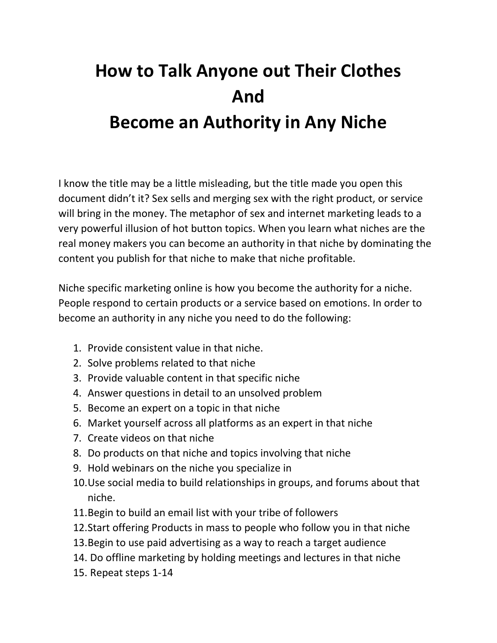## **How to Talk Anyone out Their Clothes And Become an Authority in Any Niche**

I know the title may be a little misleading, but the title made you open this document didn't it? Sex sells and merging sex with the right product, or service will bring in the money. The metaphor of sex and internet marketing leads to a very powerful illusion of hot button topics. When you learn what niches are the real money makers you can become an authority in that niche by dominating the content you publish for that niche to make that niche profitable.

Niche specific marketing online is how you become the authority for a niche. People respond to certain products or a service based on emotions. In order to become an authority in any niche you need to do the following:

- 1. Provide consistent value in that niche.
- 2. Solve problems related to that niche
- 3. Provide valuable content in that specific niche
- 4. Answer questions in detail to an unsolved problem
- 5. Become an expert on a topic in that niche
- 6. Market yourself across all platforms as an expert in that niche
- 7. Create videos on that niche
- 8. Do products on that niche and topics involving that niche
- 9. Hold webinars on the niche you specialize in
- 10.Use social media to build relationships in groups, and forums about that niche.
- 11.Begin to build an email list with your tribe of followers
- 12.Start offering Products in mass to people who follow you in that niche
- 13.Begin to use paid advertising as a way to reach a target audience
- 14. Do offline marketing by holding meetings and lectures in that niche
- 15. Repeat steps 1-14